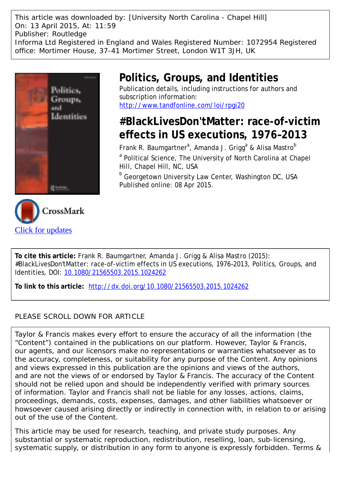This article was downloaded by: [University North Carolina - Chapel Hill] On: 13 April 2015, At: 11:59 Publisher: Routledge Informa Ltd Registered in England and Wales Registered Number: 1072954 Registered office: Mortimer House, 37-41 Mortimer Street, London W1T 3JH, UK



# **Politics, Groups, and Identities**

Publication details, including instructions for authors and subscription information: <http://www.tandfonline.com/loi/rpgi20>

# **#BlackLivesDon'tMatter: race-of-victim effects in US executions, 1976–2013**

Frank R. Baumgartner<sup>a</sup>, Amanda J. Grigg<sup>a</sup> & Alisa Mastro<sup>b</sup> <sup>a</sup> Political Science, The University of North Carolina at Chapel Hill, Chapel Hill, NC, USA

**b** Georgetown University Law Center, Washington DC, USA Published online: 08 Apr 2015.

**To cite this article:** Frank R. Baumgartner, Amanda J. Grigg & Alisa Mastro (2015): #BlackLivesDon'tMatter: race-of-victim effects in US executions, 1976–2013, Politics, Groups, and Identities, DOI: [10.1080/21565503.2015.1024262](http://www.tandfonline.com/action/showCitFormats?doi=10.1080/21565503.2015.1024262)

**To link to this article:** <http://dx.doi.org/10.1080/21565503.2015.1024262>

## PLEASE SCROLL DOWN FOR ARTICLE

Taylor & Francis makes every effort to ensure the accuracy of all the information (the "Content") contained in the publications on our platform. However, Taylor & Francis, our agents, and our licensors make no representations or warranties whatsoever as to the accuracy, completeness, or suitability for any purpose of the Content. Any opinions and views expressed in this publication are the opinions and views of the authors, and are not the views of or endorsed by Taylor & Francis. The accuracy of the Content should not be relied upon and should be independently verified with primary sources of information. Taylor and Francis shall not be liable for any losses, actions, claims, proceedings, demands, costs, expenses, damages, and other liabilities whatsoever or howsoever caused arising directly or indirectly in connection with, in relation to or arising out of the use of the Content.

This article may be used for research, teaching, and private study purposes. Any substantial or systematic reproduction, redistribution, reselling, loan, sub-licensing, systematic supply, or distribution in any form to anyone is expressly forbidden. Terms &

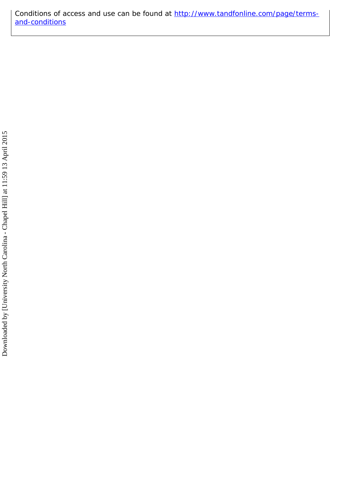Conditions of access and use can be found at [http://www.tandfonline.com/page/terms](http://www.tandfonline.com/page/terms-and-conditions)[and-conditions](http://www.tandfonline.com/page/terms-and-conditions)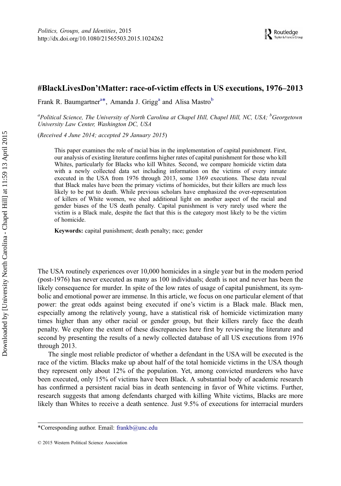### #BlackLivesDon'tMatter: race-of-victim effects in US executions, 1976–2013

Frank R. Baumgartner<sup>a\*</sup>, Amanda J. Grigg<sup>a</sup> and Alisa Mastro<sup>b</sup>

<sup>a</sup>Political Science, The University of North Carolina at Chapel Hill, Chapel Hill, NC, USA; <sup>b</sup>Georgetown University Law Center, Washington DC, USA

(Received 4 June 2014; accepted 29 January 2015)

This paper examines the role of racial bias in the implementation of capital punishment. First, our analysis of existing literature confirms higher rates of capital punishment for those who kill Whites, particularly for Blacks who kill Whites. Second, we compare homicide victim data with a newly collected data set including information on the victims of every inmate executed in the USA from 1976 through 2013, some 1369 executions. These data reveal that Black males have been the primary victims of homicides, but their killers are much less likely to be put to death. While previous scholars have emphasized the over-representation of killers of White women, we shed additional light on another aspect of the racial and gender biases of the US death penalty. Capital punishment is very rarely used where the victim is a Black male, despite the fact that this is the category most likely to be the victim of homicide.

Keywords: capital punishment; death penalty; race; gender

The USA routinely experiences over 10,000 homicides in a single year but in the modern period (post-1976) has never executed as many as 100 individuals; death is not and never has been the likely consequence for murder. In spite of the low rates of usage of capital punishment, its symbolic and emotional power are immense. In this article, we focus on one particular element of that power: the great odds against being executed if one's victim is a Black male. Black men, especially among the relatively young, have a statistical risk of homicide victimization many times higher than any other racial or gender group, but their killers rarely face the death penalty. We explore the extent of these discrepancies here first by reviewing the literature and second by presenting the results of a newly collected database of all US executions from 1976 through 2013.

The single most reliable predictor of whether a defendant in the USA will be executed is the race of the victim. Blacks make up about half of the total homicide victims in the USA though they represent only about 12% of the population. Yet, among convicted murderers who have been executed, only 15% of victims have been Black. A substantial body of academic research has confirmed a persistent racial bias in death sentencing in favor of White victims. Further, research suggests that among defendants charged with killing White victims, Blacks are more likely than Whites to receive a death sentence. Just 9.5% of executions for interracial murders

<sup>\*</sup>Corresponding author. Email: [frankb@unc.edu](mailto:frankb@unc.edu)

<sup>© 2015</sup> Western Political Science Association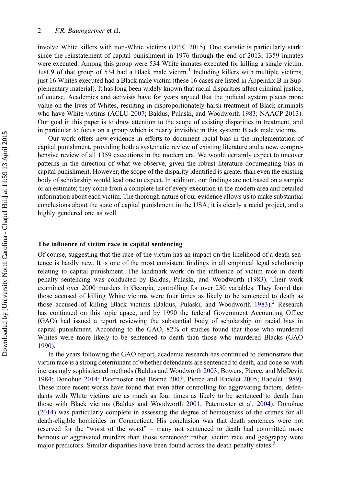#### 2 F.R. Baumgartner et al.

involve White killers with non-White victims (DPIC [2015\)](#page-13-0). One statistic is particularly stark: since the reinstatement of capital punishment in 1976 through the end of 2013, 1359 inmates were executed. Among this group were 534 White inmates executed for killing a single victim. Just 9 of that group of 534 had a Black male victim.<sup>[1](#page-12-0)</sup> Including killers with multiple victims, just 16 Whites executed had a Black male victim (these 16 cases are listed in Appendix B in Supplementary material). It has long been widely known that racial disparities affect criminal justice, of course. Academics and activists have for years argued that the judicial system places more value on the lives of Whites, resulting in disproportionately harsh treatment of Black criminals who have White victims (ACLU [2007](#page-13-0); Baldus, Pulaski, and Woodworth [1983](#page-13-0); NAACP [2013\)](#page-14-0). Our goal in this paper is to draw attention to the scope of existing disparities in treatment, and in particular to focus on a group which is nearly invisible in this system: Black male victims.

Our work offers new evidence in efforts to document racial bias in the implementation of capital punishment, providing both a systematic review of existing literature and a new, comprehensive review of all 1359 executions in the modern era. We would certainly expect to uncover patterns in the direction of what we observe, given the robust literature documenting bias in capital punishment. However, the scope of the disparity identified is greater than even the existing body of scholarship would lead one to expect. In addition, our findings are not based on a sample or an estimate; they come from a complete list of every execution in the modern area and detailed information about each victim. The thorough nature of our evidence allows us to make substantial conclusions about the state of capital punishment in the USA; it is clearly a racial project, and a highly gendered one as well.

#### The influence of victim race in capital sentencing

Of course, suggesting that the race of the victim has an impact on the likelihood of a death sentence is hardly new. It is one of the most consistent findings in all empirical legal scholarship relating to capital punishment. The landmark work on the influence of victim race in death penalty sentencing was conducted by Baldus, Pulaski, and Woodworth ([1983\)](#page-13-0). Their work examined over 2000 murders in Georgia, controlling for over 230 variables. They found that those accused of killing White victims were four times as likely to be sentenced to death as those accused of killing Black victims (Baldus, Pulaski, and Woodworth [1983](#page-13-0)).<sup>[2](#page-12-0)</sup> Research has continued on this topic apace, and by 1990 the federal Government Accounting Office (GAO) had issued a report reviewing the substantial body of scholarship on racial bias in capital punishment. According to the GAO, 82% of studies found that those who murdered Whites were more likely to be sentenced to death than those who murdered Blacks (GAO [1990\)](#page-13-0).

In the years following the GAO report, academic research has continued to demonstrate that victim race is a strong determinant of whether defendants are sentenced to death, and done so with increasingly sophisticated methods (Baldus and Woodworth [2003](#page-13-0); Bowers, Pierce, and McDevitt [1984;](#page-13-0) Donohue [2014;](#page-13-0) Paternoster and Brame [2003;](#page-14-0) Pierce and Radelet [2005](#page-14-0); Radelet [1989\)](#page-14-0). These more recent works have found that even after controlling for aggravating factors, defendants with White victims are as much as four times as likely to be sentenced to death than those with Black victims (Baldus and Woodworth [2001;](#page-13-0) Paternoster et al. [2004\)](#page-14-0). Donohue ([2014\)](#page-13-0) was particularly complete in assessing the degree of heinousness of the crimes for all death-eligible homicides in Connecticut. His conclusion was that death sentences were not reserved for the "worst of the worst" – many not sentenced to death had committed more heinous or aggravated murders than those sentenced; rather, victim race and geography were major predictors. Similar disparities have been found across the death penalty states.<sup>[3](#page-12-0)</sup>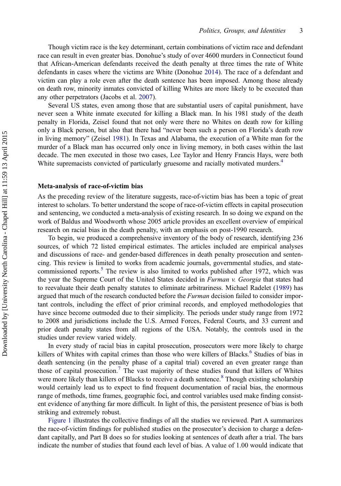Though victim race is the key determinant, certain combinations of victim race and defendant race can result in even greater bias. Donohue's study of over 4600 murders in Connecticut found that African-American defendants received the death penalty at three times the rate of White defendants in cases where the victims are White (Donohue [2014](#page-13-0)). The race of a defendant and victim can play a role even after the death sentence has been imposed. Among those already on death row, minority inmates convicted of killing Whites are more likely to be executed than any other perpetrators (Jacobs et al. [2007\)](#page-14-0).

Several US states, even among those that are substantial users of capital punishment, have never seen a White inmate executed for killing a Black man. In his 1981 study of the death penalty in Florida, Zeisel found that not only were there no Whites on death row for killing only a Black person, but also that there had "never been such a person on Florida's death row in living memory" (Zeisel [1981\)](#page-14-0). In Texas and Alabama, the execution of a White man for the murder of a Black man has occurred only once in living memory, in both cases within the last decade. The men executed in those two cases, Lee Taylor and Henry Francis Hays, were both White supremacists convicted of particularly gruesome and racially motivated murders.<sup>[4](#page-12-0)</sup>

#### Meta-analysis of race-of-victim bias

As the preceding review of the literature suggests, race-of-victim bias has been a topic of great interest to scholars. To better understand the scope of race-of-victim effects in capital prosecution and sentencing, we conducted a meta-analysis of existing research. In so doing we expand on the work of Baldus and Woodworth whose 2005 article provides an excellent overview of empirical research on racial bias in the death penalty, with an emphasis on post-1990 research.

To begin, we produced a comprehensive inventory of the body of research, identifying 236 sources, of which 72 listed empirical estimates. The articles included are empirical analyses and discussions of race- and gender-based differences in death penalty prosecution and sentencing. This review is limited to works from academic journals, governmental studies, and state-commissioned reports.<sup>[5](#page-12-0)</sup> The review is also limited to works published after 1972, which was the year the Supreme Court of the United States decided in Furman v. Georgia that states had to reevaluate their death penalty statutes to eliminate arbitrariness. Michael Radelet ([1989\)](#page-14-0) has argued that much of the research conducted before the *Furman* decision failed to consider important controls, including the effect of prior criminal records, and employed methodologies that have since become outmoded due to their simplicity. The periods under study range from 1972 to 2008 and jurisdictions include the U.S. Armed Forces, Federal Courts, and 33 current and prior death penalty states from all regions of the USA. Notably, the controls used in the studies under review varied widely.

In every study of racial bias in capital prosecution, prosecutors were more likely to charge killers of Whites with capital crimes than those who were killers of Blacks.<sup>[6](#page-12-0)</sup> Studies of bias in death sentencing (in the penalty phase of a capital trial) covered an even greater range than those of capital prosecution.<sup>[7](#page-12-0)</sup> The vast majority of these studies found that killers of Whites were more likely than killers of Blacks to receive a death sentence.<sup>[8](#page-12-0)</sup> Though existing scholarship would certainly lead us to expect to find frequent documentation of racial bias, the enormous range of methods, time frames, geographic foci, and control variables used make finding consistent evidence of anything far more difficult. In light of this, the persistent presence of bias is both striking and extremely robust.

[Figure 1](#page-5-0) illustrates the collective findings of all the studies we reviewed. Part A summarizes the race-of-victim findings for published studies on the prosecutor's decision to charge a defendant capitally, and Part B does so for studies looking at sentences of death after a trial. The bars indicate the number of studies that found each level of bias. A value of 1.00 would indicate that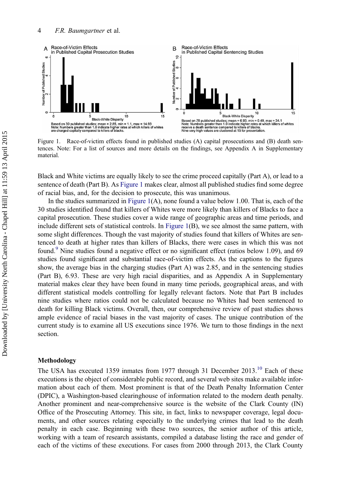<span id="page-5-0"></span>

Figure 1. Race-of-victim effects found in published studies (A) capital prosecutions and (B) death sentences. Note: For a list of sources and more details on the findings, see Appendix A in Supplementary material.

Black and White victims are equally likely to see the crime proceed capitally (Part A), or lead to a sentence of death (Part B). As Figure 1 makes clear, almost all published studies find some degree of racial bias, and, for the decision to prosecute, this was unanimous.

In the studies summarized in Figure 1(A), none found a value below 1.00. That is, each of the 30 studies identified found that killers of Whites were more likely than killers of Blacks to face a capital prosecution. These studies cover a wide range of geographic areas and time periods, and include different sets of statistical controls. In Figure 1(B), we see almost the same pattern, with some slight differences. Though the vast majority of studies found that killers of Whites are sentenced to death at higher rates than killers of Blacks, there were cases in which this was not found.<sup>[9](#page-12-0)</sup> Nine studies found a negative effect or no significant effect (ratios below 1.09), and 69 studies found significant and substantial race-of-victim effects. As the captions to the figures show, the average bias in the charging studies (Part A) was 2.85, and in the sentencing studies (Part B), 6.93. These are very high racial disparities, and as Appendix A in Supplementary material makes clear they have been found in many time periods, geographical areas, and with different statistical models controlling for legally relevant factors. Note that Part B includes nine studies where ratios could not be calculated because no Whites had been sentenced to death for killing Black victims. Overall, then, our comprehensive review of past studies shows ample evidence of racial biases in the vast majority of cases. The unique contribution of the current study is to examine all US executions since 1976. We turn to those findings in the next section.

#### Methodology

The USA has executed 1359 inmates from 1977 through 31 December  $2013$ ,  $10$  Each of these executions is the object of considerable public record, and several web sites make available information about each of them. Most prominent is that of the Death Penalty Information Center (DPIC), a Washington-based clearinghouse of information related to the modern death penalty. Another prominent and near-comprehensive source is the website of the Clark County (IN) Office of the Prosecuting Attorney. This site, in fact, links to newspaper coverage, legal documents, and other sources relating especially to the underlying crimes that lead to the death penalty in each case. Beginning with these two sources, the senior author of this article, working with a team of research assistants, compiled a database listing the race and gender of each of the victims of these executions. For cases from 2000 through 2013, the Clark County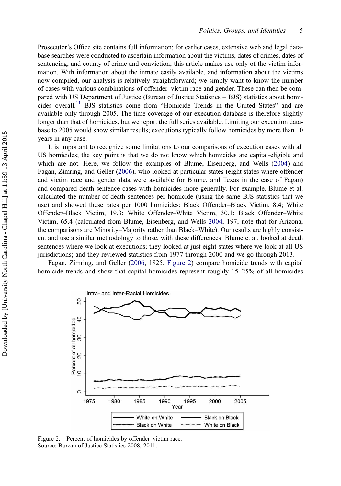<span id="page-6-0"></span>Prosecutor's Office site contains full information; for earlier cases, extensive web and legal database searches were conducted to ascertain information about the victims, dates of crimes, dates of sentencing, and county of crime and conviction; this article makes use only of the victim information. With information about the inmate easily available, and information about the victims now compiled, our analysis is relatively straightforward; we simply want to know the number of cases with various combinations of offender–victim race and gender. These can then be compared with US Department of Justice (Bureau of Justice Statistics – BJS) statistics about homi-cides overall.<sup>[11](#page-12-0)</sup> BJS statistics come from "Homicide Trends in the United States" and are available only through 2005. The time coverage of our execution database is therefore slightly longer than that of homicides, but we report the full series available. Limiting our execution database to 2005 would show similar results; executions typically follow homicides by more than 10 years in any case.

It is important to recognize some limitations to our comparisons of execution cases with all US homicides; the key point is that we do not know which homicides are capital-eligible and which are not. Here, we follow the examples of Blume, Eisenberg, and Wells [\(2004](#page-13-0)) and Fagan, Zimring, and Geller [\(2006](#page-13-0)), who looked at particular states (eight states where offender and victim race and gender data were available for Blume, and Texas in the case of Fagan) and compared death-sentence cases with homicides more generally. For example, Blume et al. calculated the number of death sentences per homicide (using the same BJS statistics that we use) and showed these rates per 1000 homicides: Black Offender–Black Victim, 8.4; White Offender–Black Victim, 19.3; White Offender–White Victim, 30.1; Black Offender–White Victim, 65.4 (calculated from Blume, Eisenberg, and Wells [2004,](#page-13-0) 197; note that for Arizona, the comparisons are Minority–Majority rather than Black–White). Our results are highly consistent and use a similar methodology to those, with these differences: Blume et al. looked at death sentences where we look at executions; they looked at just eight states where we look at all US jurisdictions; and they reviewed statistics from 1977 through 2000 and we go through 2013.

Fagan, Zimring, and Geller [\(2006](#page-13-0), 1825, Figure 2) compare homicide trends with capital homicide trends and show that capital homicides represent roughly 15–25% of all homicides



Figure 2. Percent of homicides by offender–victim race. Source: Bureau of Justice Statistics 2008, 2011.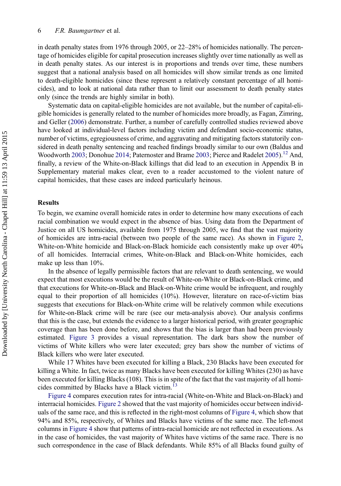in death penalty states from 1976 through 2005, or 22–28% of homicides nationally. The percentage of homicides eligible for capital prosecution increases slightly over time nationally as well as in death penalty states. As our interest is in proportions and trends over time, these numbers suggest that a national analysis based on all homicides will show similar trends as one limited to death-eligible homicides (since these represent a relatively constant percentage of all homicides), and to look at national data rather than to limit our assessment to death penalty states only (since the trends are highly similar in both).

Systematic data on capital-eligible homicides are not available, but the number of capital-eligible homicides is generally related to the number of homicides more broadly, as Fagan, Zimring, and Geller ([2006\)](#page-13-0) demonstrate. Further, a number of carefully controlled studies reviewed above have looked at individual-level factors including victim and defendant socio-economic status, number of victims, egregiousness of crime, and aggravating and mitigating factors statutorily considered in death penalty sentencing and reached findings broadly similar to our own (Baldus and Woodworth [2003;](#page-13-0) Donohue [2014](#page-13-0); Paternoster and Brame [2003](#page-14-0); Pierce and Radelet [2005\)](#page-14-0).<sup>[12](#page-13-0)</sup> And, finally, a review of the White-on-Black killings that did lead to an execution in Appendix B in Supplementary material makes clear, even to a reader accustomed to the violent nature of capital homicides, that these cases are indeed particularly heinous.

#### **Results**

To begin, we examine overall homicide rates in order to determine how many executions of each racial combination we would expect in the absence of bias. Using data from the Department of Justice on all US homicides, available from 1975 through 2005, we find that the vast majority of homicides are intra-racial (between two people of the same race). As shown in [Figure 2](#page-6-0), White-on-White homicide and Black-on-Black homicide each consistently make up over 40% of all homicides. Interracial crimes, White-on-Black and Black-on-White homicides, each make up less than 10%.

In the absence of legally permissible factors that are relevant to death sentencing, we would expect that most executions would be the result of White-on-White or Black-on-Black crime, and that executions for White-on-Black and Black-on-White crime would be infrequent, and roughly equal to their proportion of all homicides (10%). However, literature on race-of-victim bias suggests that executions for Black-on-White crime will be relatively common while executions for White-on-Black crime will be rare (see our meta-analysis above). Our analysis confirms that this is the case, but extends the evidence to a larger historical period, with greater geographic coverage than has been done before, and shows that the bias is larger than had been previously estimated. [Figure 3](#page-8-0) provides a visual representation. The dark bars show the number of victims of White killers who were later executed; grey bars show the number of victims of Black killers who were later executed.

While 17 Whites have been executed for killing a Black, 230 Blacks have been executed for killing a White. In fact, twice as many Blacks have been executed for killing Whites (230) as have been executed for killing Blacks (108). This is in spite of the fact that the vast majority of all homi-cides committed by Blacks have a Black victim.<sup>[13](#page-13-0)</sup>

[Figure 4](#page-8-0) compares execution rates for intra-racial (White-on-White and Black-on-Black) and interracial homicides. [Figure 2](#page-6-0) showed that the vast majority of homicides occur between individuals of the same race, and this is reflected in the right-most columns of [Figure 4,](#page-8-0) which show that 94% and 85%, respectively, of Whites and Blacks have victims of the same race. The left-most columns in [Figure 4](#page-8-0) show that patterns of intra-racial homicide are not reflected in executions. As in the case of homicides, the vast majority of Whites have victims of the same race. There is no such correspondence in the case of Black defendants. While 85% of all Blacks found guilty of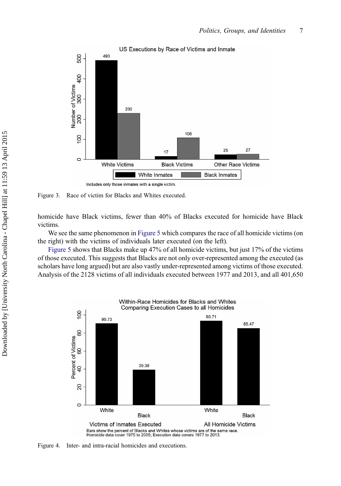<span id="page-8-0"></span>

Figure 3. Race of victim for Blacks and Whites executed.

homicide have Black victims, fewer than 40% of Blacks executed for homicide have Black victims.

We see the same phenomenon in [Figure 5](#page-9-0) which compares the race of all homicide victims (on the right) with the victims of individuals later executed (on the left).

[Figure 5](#page-9-0) shows that Blacks make up 47% of all homicide victims, but just 17% of the victims of those executed. This suggests that Blacks are not only over-represented among the executed (as scholars have long argued) but are also vastly under-represented among victims of those executed. Analysis of the 2128 victims of all individuals executed between 1977 and 2013, and all 401,650



Figure 4. Inter- and intra-racial homicides and executions.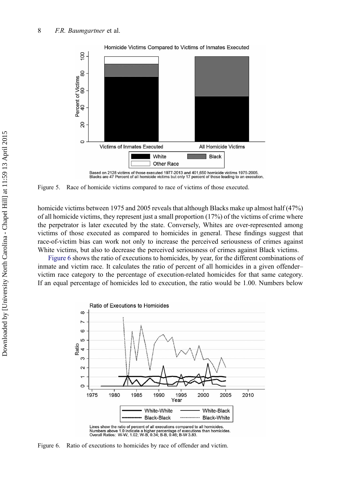<span id="page-9-0"></span>

Figure 5. Race of homicide victims compared to race of victims of those executed.

homicide victims between 1975 and 2005 reveals that although Blacks make up almost half (47%) of all homicide victims, they represent just a small proportion  $(17%)$  of the victims of crime where the perpetrator is later executed by the state. Conversely, Whites are over-represented among victims of those executed as compared to homicides in general. These findings suggest that race-of-victim bias can work not only to increase the perceived seriousness of crimes against White victims, but also to decrease the perceived seriousness of crimes against Black victims.

Figure 6 shows the ratio of executions to homicides, by year, for the different combinations of inmate and victim race. It calculates the ratio of percent of all homicides in a given offender– victim race category to the percentage of execution-related homicides for that same category. If an equal percentage of homicides led to execution, the ratio would be 1.00. Numbers below



Lines show the ratio of percent of all executions compared to all homicides. Example is above 1.0 indicate a higher percentage of executions than homicides.<br>Overall Ratios: W-W, 1.02; W-B, 0.34; B-B, 0.46; B-W 3.83.

Figure 6. Ratio of executions to homicides by race of offender and victim.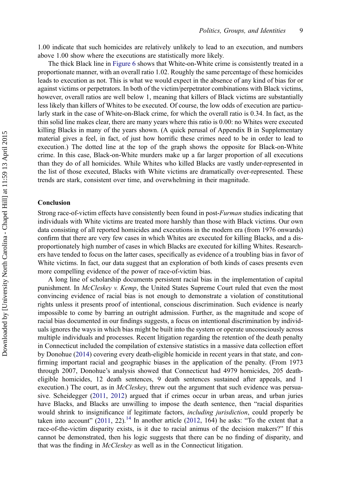1.00 indicate that such homicides are relatively unlikely to lead to an execution, and numbers above 1.00 show where the executions are statistically more likely.

The thick Black line in [Figure 6](#page-9-0) shows that White-on-White crime is consistently treated in a proportionate manner, with an overall ratio 1.02. Roughly the same percentage of these homicides leads to execution as not. This is what we would expect in the absence of any kind of bias for or against victims or perpetrators. In both of the victim/perpetrator combinations with Black victims, however, overall ratios are well below 1, meaning that killers of Black victims are substantially less likely than killers of Whites to be executed. Of course, the low odds of execution are particularly stark in the case of White-on-Black crime, for which the overall ratio is 0.34. In fact, as the thin solid line makes clear, there are many years where this ratio is 0.00: no Whites were executed killing Blacks in many of the years shown. (A quick perusal of Appendix B in Supplementary material gives a feel, in fact, of just how horrific these crimes need to be in order to lead to execution.) The dotted line at the top of the graph shows the opposite for Black-on-White crime. In this case, Black-on-White murders make up a far larger proportion of all executions than they do of all homicides. While Whites who killed Blacks are vastly under-represented in the list of those executed, Blacks with White victims are dramatically over-represented. These trends are stark, consistent over time, and overwhelming in their magnitude.

#### Conclusion

Strong race-of-victim effects have consistently been found in post-Furman studies indicating that individuals with White victims are treated more harshly than those with Black victims. Our own data consisting of all reported homicides and executions in the modern era (from 1976 onwards) confirm that there are very few cases in which Whites are executed for killing Blacks, and a disproportionately high number of cases in which Blacks are executed for killing Whites. Researchers have tended to focus on the latter cases, specifically as evidence of a troubling bias in favor of White victims. In fact, our data suggest that an exploration of both kinds of cases presents even more compelling evidence of the power of race-of-victim bias.

A long line of scholarship documents persistent racial bias in the implementation of capital punishment. In McCleskey v. Kemp, the United States Supreme Court ruled that even the most convincing evidence of racial bias is not enough to demonstrate a violation of constitutional rights unless it presents proof of intentional, conscious discrimination. Such evidence is nearly impossible to come by barring an outright admission. Further, as the magnitude and scope of racial bias documented in our findings suggests, a focus on intentional discrimination by individuals ignores the ways in which bias might be built into the system or operate unconsciously across multiple individuals and processes. Recent litigation regarding the retention of the death penalty in Connecticut included the compilation of extensive statistics in a massive data collection effort by Donohue [\(2014](#page-13-0)) covering every death-eligible homicide in recent years in that state, and confirming important racial and geographic biases in the application of the penalty. (From 1973 through 2007, Donohue's analysis showed that Connecticut had 4979 homicides, 205 deatheligible homicides, 12 death sentences, 9 death sentences sustained after appeals, and 1 execution.) The court, as in *McCleskey*, threw out the argument that such evidence was persuasive. Scheidegger ([2011,](#page-14-0) [2012](#page-14-0)) argued that if crimes occur in urban areas, and urban juries have Blacks, and Blacks are unwilling to impose the death sentence, then "racial disparities would shrink to insignificance if legitimate factors, *including jurisdiction*, could properly be taken into account"  $(2011, 22)$  $(2011, 22)$  $(2011, 22)$ .<sup>[14](#page-13-0)</sup> In another article  $(2012, 164)$  $(2012, 164)$  $(2012, 164)$  he asks: "To the extent that a race-of-the-victim disparity exists, is it due to racial animus of the decision makers?" If this cannot be demonstrated, then his logic suggests that there can be no finding of disparity, and that was the finding in *McCleskey* as well as in the Connecticut litigation.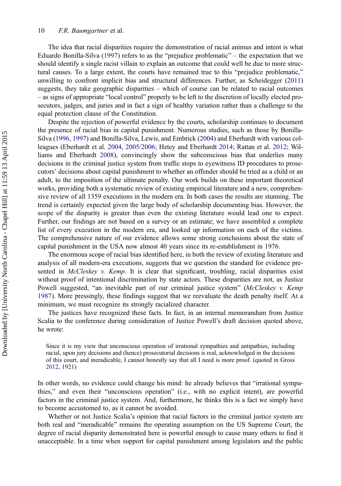The idea that racial disparities require the demonstration of racial animus and intent is what Eduardo Bonilla-Silva [\(1997](#page-13-0)) refers to as the "prejudice problematic" – the expectation that we should identify a single racist villain to explain an outcome that could well be due to more structural causes. To a large extent, the courts have remained true to this "prejudice problematic," unwilling to confront implicit bias and structural differences. Further, as Scheidegger ([2011](#page-14-0)) suggests, they take geographic disparities – which of course can be related to racial outcomes – as signs of appropriate "local control" properly to be left to the discretion of locally elected prosecutors, judges, and juries and in fact a sign of healthy variation rather than a challenge to the equal protection clause of the Constitution.

Despite the rejection of powerful evidence by the courts, scholarship continues to document the presence of racial bias in capital punishment. Numerous studies, such as those by Bonilla-Silva [\(1996](#page-13-0), [1997](#page-13-0)) and Bonilla-Silva, Lewis, and Embrick [\(2004](#page-13-0)) and Eberhardt with various colleagues (Eberhardt et al. [2004](#page-13-0), [2005/2006](#page-13-0); Hetey and Eberhardt [2014;](#page-14-0) Rattan et al. [2012;](#page-14-0) Williams and Eberhardt [2008\)](#page-14-0), convincingly show the subconscious bias that underlies many decisions in the criminal justice system from traffic stops to eyewitness ID procedures to prosecutors' decisions about capital punishment to whether an offender should be tried as a child or an adult, to the imposition of the ultimate penalty. Our work builds on these important theoretical works, providing both a systematic review of existing empirical literature and a new, comprehensive review of all 1359 executions in the modern era. In both cases the results are stunning. The trend is certainly expected given the large body of scholarship documenting bias. However, the scope of the disparity is greater than even the existing literature would lead one to expect. Further, our findings are not based on a survey or an estimate; we have assembled a complete list of every execution in the modern era, and looked up information on each of the victims. The comprehensive nature of our evidence allows some strong conclusions about the state of capital punishment in the USA now almost 40 years since its re-establishment in 1976.

The enormous scope of racial bias identified here, in both the review of existing literature and analysis of all modern-era executions, suggests that we question the standard for evidence presented in  $McCleskey$  v. Kemp. It is clear that significant, troubling, racial disparities exist without proof of intentional discrimination by state actors. These disparities are not, as Justice Powell suggested, "an inevitable part of our criminal justice system" (McCleskey v. Kemp [1987\)](#page-14-0). More pressingly, these findings suggest that we reevaluate the death penalty itself. At a minimum, we must recognize its strongly racialized character.

The justices have recognized these facts. In fact, in an internal memorandum from Justice Scalia to the conference during consideration of Justice Powell's draft decision quoted above, he wrote:

Since it is my view that unconscious operation of irrational sympathies and antipathies, including racial, upon jury decisions and (hence) prosecutorial decisions is real, acknowledged in the decisions of this court, and ineradicable, I cannot honestly say that all I need is more proof. (quoted in Gross [2012,](#page-14-0) 1921)

In other words, no evidence could change his mind: he already believes that "irrational sympathies," and even their "unconscious operation" (i.e., with no explicit intent), are powerful factors in the criminal justice system. And, furthermore, he thinks this is a fact we simply have to become accustomed to, as it cannot be avoided.

Whether or not Justice Scalia's opinion that racial factors in the criminal justice system are both real and "ineradicable" remains the operating assumption on the US Supreme Court, the degree of racial disparity demonstrated here is powerful enough to cause many others to find it unacceptable. In a time when support for capital punishment among legislators and the public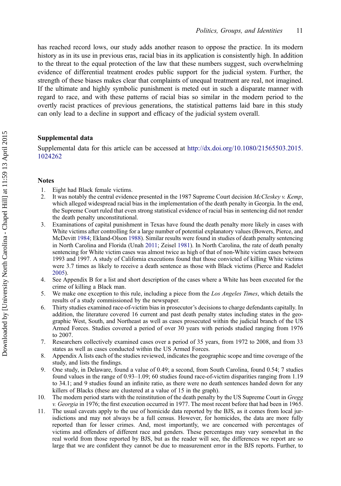<span id="page-12-0"></span>has reached record lows, our study adds another reason to oppose the practice. In its modern history as in its use in previous eras, racial bias in its application is consistently high. In addition to the threat to the equal protection of the law that these numbers suggest, such overwhelming evidence of differential treatment erodes public support for the judicial system. Further, the strength of these biases makes clear that complaints of unequal treatment are real, not imagined. If the ultimate and highly symbolic punishment is meted out in such a disparate manner with regard to race, and with these patterns of racial bias so similar in the modern period to the overtly racist practices of previous generations, the statistical patterns laid bare in this study can only lead to a decline in support and efficacy of the judicial system overall.

#### Supplemental data

Supplemental data for this article can be accessed at [http://dx.doi.org/10.1080/21565503.2015.](http://dx.doi.org/10.1080/21565503.2015.1024262) [1024262](http://dx.doi.org/10.1080/21565503.2015.1024262)

### **Notes**

- 1. Eight had Black female victims.
- 2. It was notably the central evidence presented in the 1987 Supreme Court decision McCleskey v. Kemp, which alleged widespread racial bias in the implementation of the death penalty in Georgia. In the end, the Supreme Court ruled that even strong statistical evidence of racial bias in sentencing did not render the death penalty unconstitutional.
- 3. Examinations of capital punishment in Texas have found the death penalty more likely in cases with White victims after controlling for a large number of potential explanatory values (Bowers, Pierce, and McDevitt [1984;](#page-13-0) Ekland-Olson [1988\)](#page-13-0). Similar results were found in studies of death penalty sentencing in North Carolina and Florida (Unah [2011](#page-14-0); Zeisel [1981](#page-14-0)). In North Carolina, the rate of death penalty sentencing for White victim cases was almost twice as high of that of non-White victim cases between 1993 and 1997. A study of California executions found that those convicted of killing White victims were 3.7 times as likely to receive a death sentence as those with Black victims (Pierce and Radelet [2005\)](#page-14-0).
- 4. See Appendix B for a list and short description of the cases where a White has been executed for the crime of killing a Black man.
- 5. We make one exception to this rule, including a piece from the Los Angeles Times, which details the results of a study commissioned by the newspaper.
- 6. Thirty studies examined race-of-victim bias in prosecutor's decisions to charge defendants capitally. In addition, the literature covered 16 current and past death penalty states including states in the geographic West, South, and Northeast as well as cases prosecuted within the judicial branch of the US Armed Forces. Studies covered a period of over 30 years with periods studied ranging from 1976 to 2007.
- 7. Researchers collectively examined cases over a period of 35 years, from 1972 to 2008, and from 33 states as well as cases conducted within the US Armed Forces.
- 8. Appendix A lists each of the studies reviewed, indicates the geographic scope and time coverage of the study, and lists the findings.
- 9. One study, in Delaware, found a value of 0.49; a second, from South Carolina, found 0.54; 7 studies found values in the range of 0.93–1.09; 60 studies found race-of-victim disparities ranging from 1.19 to 34.1; and 9 studies found an infinite ratio, as there were no death sentences handed down for any killers of Blacks (these are clustered at a value of 15 in the graph).
- 10. The modern period starts with the reinstitution of the death penalty by the US Supreme Court in Gregg v. Georgia in 1976; the first execution occurred in 1977. The most recent before that had been in 1965.
- 11. The usual caveats apply to the use of homicide data reported by the BJS, as it comes from local jurisdictions and may not always be a full census. However, for homicides, the data are more fully reported than for lesser crimes. And, most importantly, we are concerned with percentages of victims and offenders of different race and genders. These percentages may vary somewhat in the real world from those reported by BJS, but as the reader will see, the differences we report are so large that we are confident they cannot be due to measurement error in the BJS reports. Further, to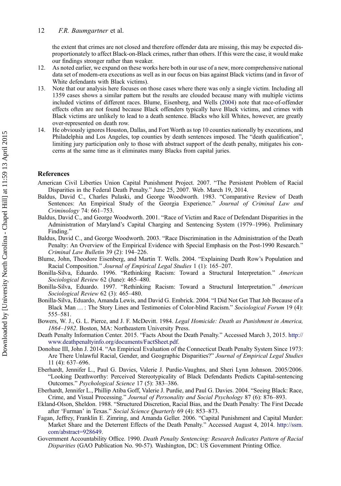<span id="page-13-0"></span>the extent that crimes are not closed and therefore offender data are missing, this may be expected disproportionately to affect Black-on-Black crimes, rather than others. If this were the case, it would make our findings stronger rather than weaker.

- 12. As noted earlier, we expand on these works here both in our use of a new, more comprehensive national data set of modern-era executions as well as in our focus on bias against Black victims (and in favor of White defendants with Black victims).
- 13. Note that our analysis here focuses on those cases where there was only a single victim. Including all 1359 cases shows a similar pattern but the results are clouded because many with multiple victims included victims of different races. Blume, Eisenberg, and Wells (2004) note that race-of-offender effects often are not found because Black offenders typically have Black victims, and crimes with Black victims are unlikely to lead to a death sentence. Blacks who kill Whites, however, are greatly over-represented on death row.
- 14. He obviously ignores Houston, Dallas, and Fort Worth as top 10 counties nationally by executions, and Philadelphia and Los Angeles, top counties by death sentences imposed. The "death qualification", limiting jury participation only to those with abstract support of the death penalty, mitigates his concerns at the same time as it eliminates many Blacks from capital juries.

#### References

- American Civil Liberties Union Capital Punishment Project. 2007. "The Persistent Problem of Racial Disparities in the Federal Death Penalty." June 25, 2007. Web. March 19, 2014.
- Baldus, David C., Charles Pulaski, and George Woodworth. 1983. "Comparative Review of Death Sentences: An Empirical Study of the Georgia Experience." Journal of Criminal Law and Criminology 74: 661–753.
- Baldus, David C., and George Woodworth. 2001. "Race of Victim and Race of Defendant Disparities in the Administration of Maryland's Capital Charging and Sentencing System (1979–1996). Preliminary Finding."
- Baldus, David C., and George Woodworth. 2003. "Race Discrimination in the Administration of the Death Penalty: An Overview of the Empirical Evidence with Special Emphasis on the Post-1990 Research." Criminal Law Bulletin 39 (2): 194–226.
- Blume, John, Theodore Eisenberg, and Martin T. Wells. 2004. "Explaining Death Row's Population and Racial Composition." Journal of Empirical Legal Studies 1 (1): 165–207.
- Bonilla-Silva, Eduardo. 1996. "Rethinking Racism: Toward a Structural Interpretation." American Sociological Review 62 (June): 465–480.
- Bonilla-Silva, Eduardo. 1997. "Rethinking Racism: Toward a Structural Interpretation." American Sociological Review 62 (3): 465–480.
- Bonilla-Silva, Eduardo, Amanda Lewis, and David G. Embrick. 2004. "I Did Not Get That Job Because of a Black Man ...: The Story Lines and Testimonies of Color-blind Racism." Sociological Forum 19 (4): 555–581.
- Bowers, W. J., G. L. Pierce, and J. F. McDevitt. 1984. Legal Homicide: Death as Punishment in America, 1864–1982. Boston, MA: Northeastern University Press.
- Death Penalty Information Center. 2015. "Facts About the Death Penalty." Accessed March 3, 2015. [http://](http://www.deathpenaltyinfo.org/documents/FactSheet.pdf) [www.deathpenaltyinfo.org/documents/FactSheet.pdf](http://www.deathpenaltyinfo.org/documents/FactSheet.pdf).
- Donohue III, John J. 2014. "An Empirical Evaluation of the Connecticut Death Penalty System Since 1973: Are There Unlawful Racial, Gender, and Geographic Disparities?" Journal of Empirical Legal Studies 11 (4): 637–696.
- Eberhardt, Jennifer L., Paul G. Davies, Valerie J. Purdie-Vaughns, and Sheri Lynn Johnson. 2005/2006. "Looking Deathworthy: Perceived Stereotypicality of Black Defendants Predicts Capital-sentencing Outcomes." Psychological Science 17 (5): 383–386.
- Eberhardt, Jennifer L., Phillip Atiba Goff, Valerie J. Purdie, and Paul G. Davies. 2004. "Seeing Black: Race, Crime, and Visual Processing." Journal of Personality and Social Psychology 87 (6): 876–893.
- Ekland-Olson, Sheldon. 1988. "Structured Discretion, Racial Bias, and the Death Penalty: The First Decade after 'Furman' in Texas." Social Science Ouarterly 69 (4): 853-873.
- Fagan, Jeffrey, Franklin E. Zimring, and Amanda Geller. 2006. "Capital Punishment and Capital Murder: Market Share and the Deterrent Effects of the Death Penalty." Accessed August 4, 2014. [http://ssrn.](http://ssrn.com/abstract=928649) [com/abstract=928649](http://ssrn.com/abstract=928649).
- Government Accountability Office. 1990. Death Penalty Sentencing: Research Indicates Pattern of Racial Disparities (GAO Publication No. 90-57). Washington, DC: US Government Printing Office.